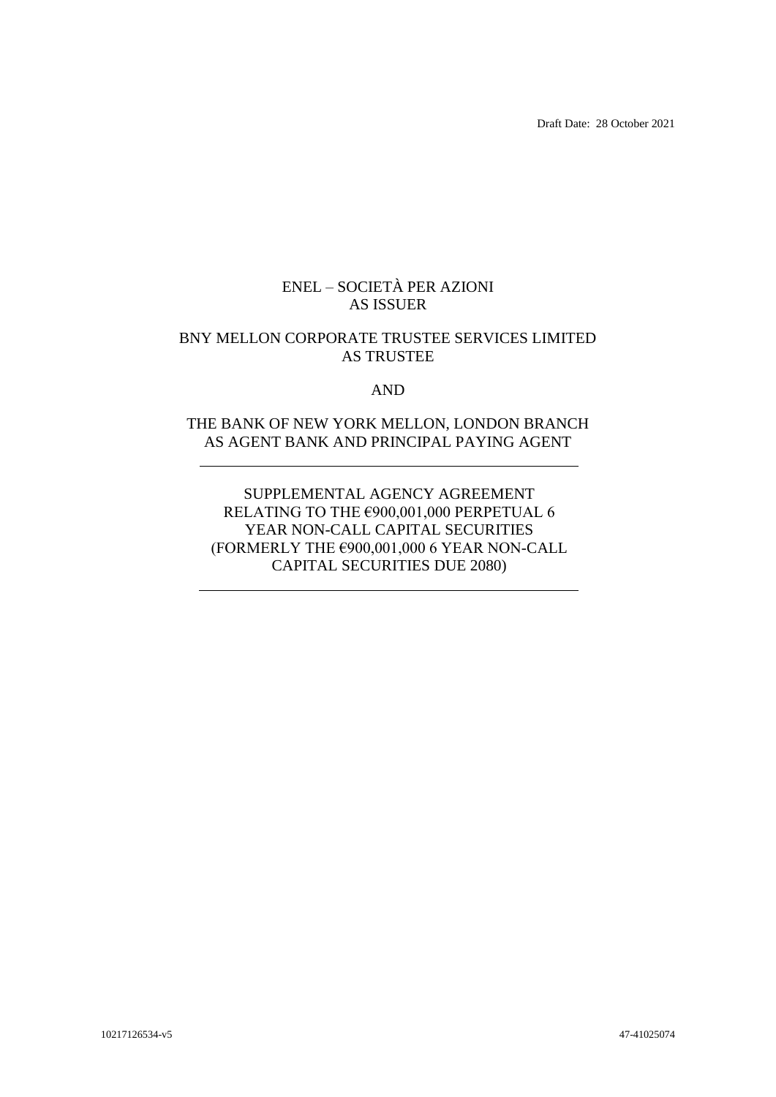Draft Date: 28 October 2021

## ENEL – SOCIETÀ PER AZIONI AS ISSUER

## BNY MELLON CORPORATE TRUSTEE SERVICES LIMITED AS TRUSTEE

AND

## THE BANK OF NEW YORK MELLON, LONDON BRANCH AS AGENT BANK AND PRINCIPAL PAYING AGENT

SUPPLEMENTAL AGENCY AGREEMENT RELATING TO THE €900,001,000 PERPETUAL 6 YEAR NON-CALL CAPITAL SECURITIES (FORMERLY THE  $€900,001,000$  6 YEAR NON-CALL CAPITAL SECURITIES DUE 2080)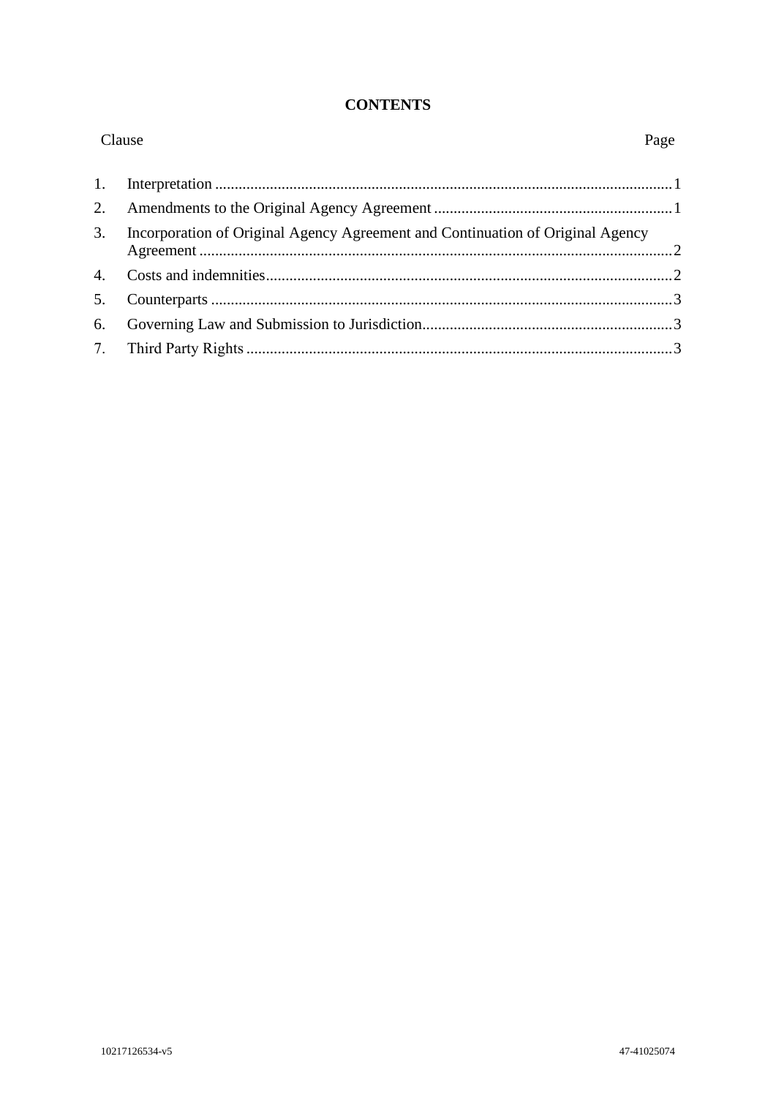#### **CONTENTS**

| Clause         |                                                                                | Page |
|----------------|--------------------------------------------------------------------------------|------|
| 1.             |                                                                                |      |
| 2.             |                                                                                |      |
| 3.             | Incorporation of Original Agency Agreement and Continuation of Original Agency |      |
| 4.             |                                                                                |      |
| 5 <sub>1</sub> |                                                                                |      |
| 6.             |                                                                                |      |
|                |                                                                                |      |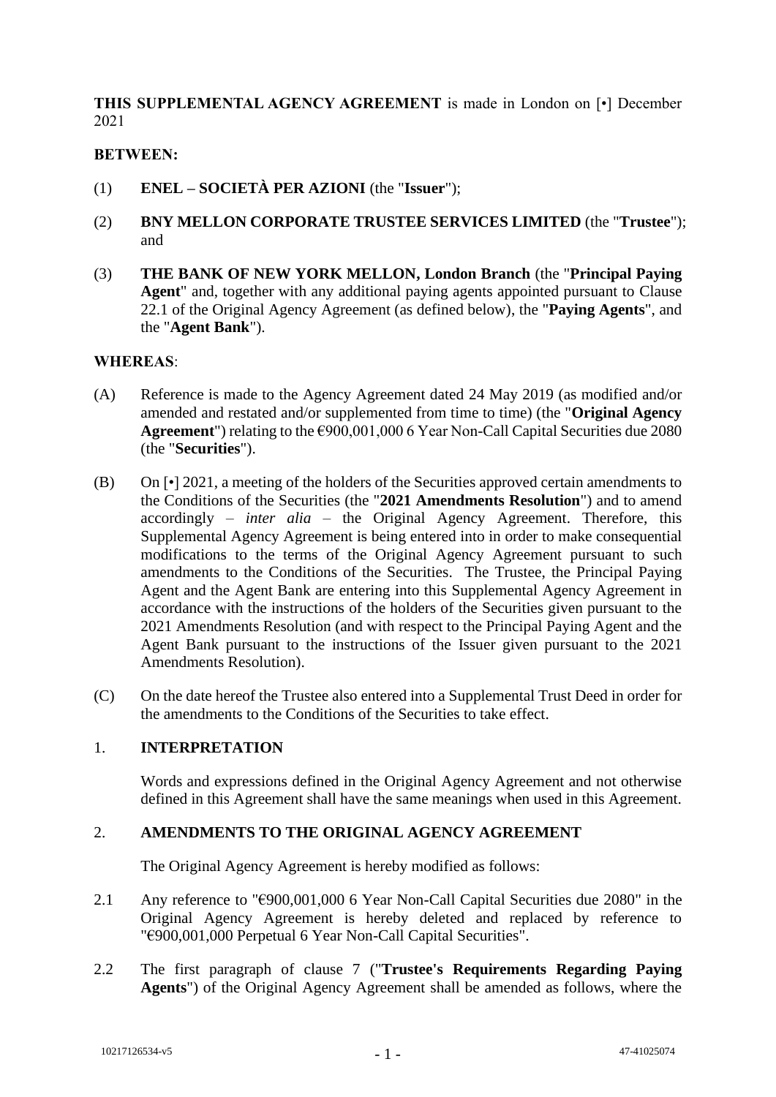## **THIS SUPPLEMENTAL AGENCY AGREEMENT** is made in London on [•] December 2021

## **BETWEEN:**

- (1) **ENEL – SOCIETÀ PER AZIONI** (the "**Issuer**");
- (2) **BNY MELLON CORPORATE TRUSTEE SERVICES LIMITED** (the "**Trustee**"); and
- (3) **THE BANK OF NEW YORK MELLON, London Branch** (the "**Principal Paying Agent**" and, together with any additional paying agents appointed pursuant to Clause 22.1 of the Original Agency Agreement (as defined below), the "**Paying Agents**", and the "**Agent Bank**").

#### **WHEREAS**:

- (A) Reference is made to the Agency Agreement dated 24 May 2019 (as modified and/or amended and restated and/or supplemented from time to time) (the "**Original Agency Agreement**") relating to the €900,001,000 6 Year Non-Call Capital Securities due 2080 (the "**Securities**").
- (B) On [•] 2021, a meeting of the holders of the Securities approved certain amendments to the Conditions of the Securities (the "**2021 Amendments Resolution**") and to amend accordingly – *inter alia* – the Original Agency Agreement. Therefore, this Supplemental Agency Agreement is being entered into in order to make consequential modifications to the terms of the Original Agency Agreement pursuant to such amendments to the Conditions of the Securities. The Trustee, the Principal Paying Agent and the Agent Bank are entering into this Supplemental Agency Agreement in accordance with the instructions of the holders of the Securities given pursuant to the 2021 Amendments Resolution (and with respect to the Principal Paying Agent and the Agent Bank pursuant to the instructions of the Issuer given pursuant to the 2021 Amendments Resolution).
- (C) On the date hereof the Trustee also entered into a Supplemental Trust Deed in order for the amendments to the Conditions of the Securities to take effect.

#### 1. **INTERPRETATION**

Words and expressions defined in the Original Agency Agreement and not otherwise defined in this Agreement shall have the same meanings when used in this Agreement.

#### 2. **AMENDMENTS TO THE ORIGINAL AGENCY AGREEMENT**

The Original Agency Agreement is hereby modified as follows:

- 2.1 Any reference to "€900,001,000 6 Year Non-Call Capital Securities due 2080" in the Original Agency Agreement is hereby deleted and replaced by reference to "€900,001,000 Perpetual 6 Year Non-Call Capital Securities".
- 2.2 The first paragraph of clause 7 ("**Trustee's Requirements Regarding Paying Agents**") of the Original Agency Agreement shall be amended as follows, where the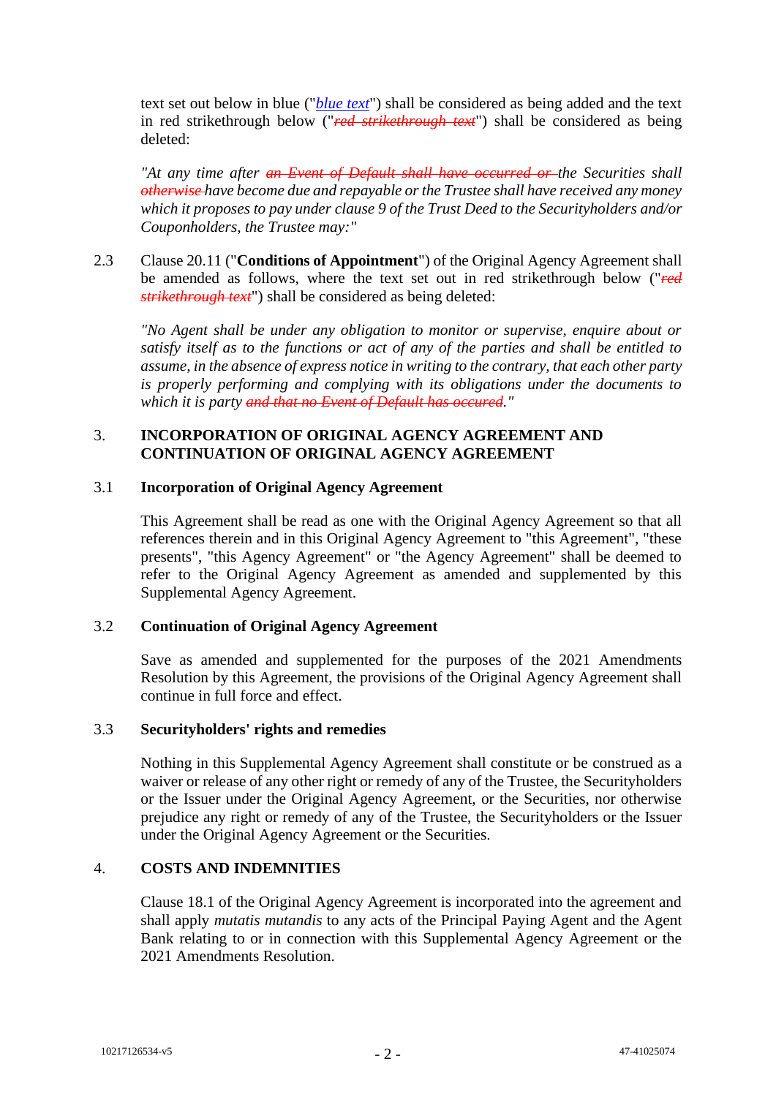text set out below in blue ("*blue text*") shall be considered as being added and the text in red strikethrough below ("*red strikethrough text*") shall be considered as being deleted:

*"At any time after an Event of Default shall have occurred or the Securities shall otherwise have become due and repayable or the Trustee shall have received any money which it proposes to pay under clause 9 of the Trust Deed to the Securityholders and/or Couponholders, the Trustee may:"*

2.3 Clause 20.11 ("**Conditions of Appointment**") of the Original Agency Agreement shall be amended as follows, where the text set out in red strikethrough below ("*red strikethrough text*") shall be considered as being deleted:

*"No Agent shall be under any obligation to monitor or supervise, enquire about or satisfy itself as to the functions or act of any of the parties and shall be entitled to assume, in the absence of express notice in writing to the contrary, that each other party is properly performing and complying with its obligations under the documents to which it is party and that no Event of Default has occured."*

## 3. **INCORPORATION OF ORIGINAL AGENCY AGREEMENT AND CONTINUATION OF ORIGINAL AGENCY AGREEMENT**

#### 3.1 **Incorporation of Original Agency Agreement**

This Agreement shall be read as one with the Original Agency Agreement so that all references therein and in this Original Agency Agreement to "this Agreement", "these presents", "this Agency Agreement" or "the Agency Agreement" shall be deemed to refer to the Original Agency Agreement as amended and supplemented by this Supplemental Agency Agreement.

## 3.2 **Continuation of Original Agency Agreement**

Save as amended and supplemented for the purposes of the 2021 Amendments Resolution by this Agreement, the provisions of the Original Agency Agreement shall continue in full force and effect.

#### 3.3 **Securityholders' rights and remedies**

Nothing in this Supplemental Agency Agreement shall constitute or be construed as a waiver or release of any other right or remedy of any of the Trustee, the Securityholders or the Issuer under the Original Agency Agreement, or the Securities, nor otherwise prejudice any right or remedy of any of the Trustee, the Securityholders or the Issuer under the Original Agency Agreement or the Securities.

#### 4. **COSTS AND INDEMNITIES**

Clause 18.1 of the Original Agency Agreement is incorporated into the agreement and shall apply *mutatis mutandis* to any acts of the Principal Paying Agent and the Agent Bank relating to or in connection with this Supplemental Agency Agreement or the 2021 Amendments Resolution.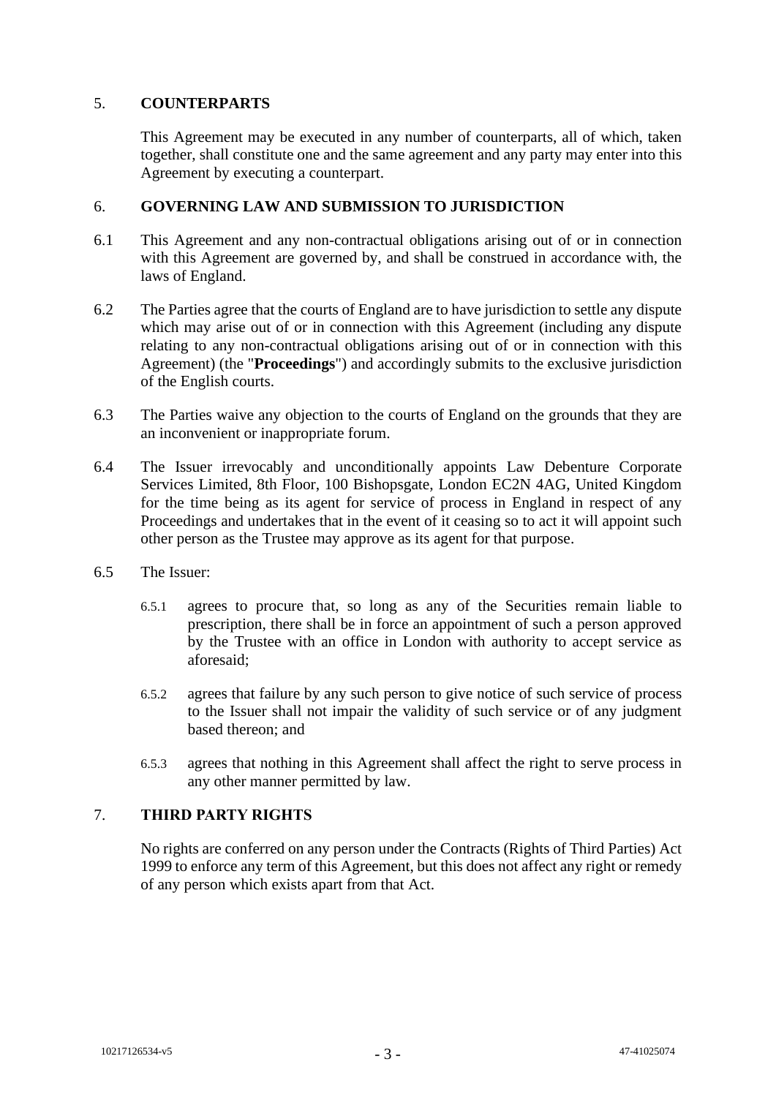#### 5. **COUNTERPARTS**

This Agreement may be executed in any number of counterparts, all of which, taken together, shall constitute one and the same agreement and any party may enter into this Agreement by executing a counterpart.

#### 6. **GOVERNING LAW AND SUBMISSION TO JURISDICTION**

- 6.1 This Agreement and any non-contractual obligations arising out of or in connection with this Agreement are governed by, and shall be construed in accordance with, the laws of England.
- 6.2 The Parties agree that the courts of England are to have jurisdiction to settle any dispute which may arise out of or in connection with this Agreement (including any dispute relating to any non-contractual obligations arising out of or in connection with this Agreement) (the "**Proceedings**") and accordingly submits to the exclusive jurisdiction of the English courts.
- 6.3 The Parties waive any objection to the courts of England on the grounds that they are an inconvenient or inappropriate forum.
- 6.4 The Issuer irrevocably and unconditionally appoints Law Debenture Corporate Services Limited, 8th Floor, 100 Bishopsgate, London EC2N 4AG, United Kingdom for the time being as its agent for service of process in England in respect of any Proceedings and undertakes that in the event of it ceasing so to act it will appoint such other person as the Trustee may approve as its agent for that purpose.
- 6.5 The Issuer:
	- 6.5.1 agrees to procure that, so long as any of the Securities remain liable to prescription, there shall be in force an appointment of such a person approved by the Trustee with an office in London with authority to accept service as aforesaid;
	- 6.5.2 agrees that failure by any such person to give notice of such service of process to the Issuer shall not impair the validity of such service or of any judgment based thereon; and
	- 6.5.3 agrees that nothing in this Agreement shall affect the right to serve process in any other manner permitted by law.

## 7. **THIRD PARTY RIGHTS**

No rights are conferred on any person under the Contracts (Rights of Third Parties) Act 1999 to enforce any term of this Agreement, but this does not affect any right or remedy of any person which exists apart from that Act.